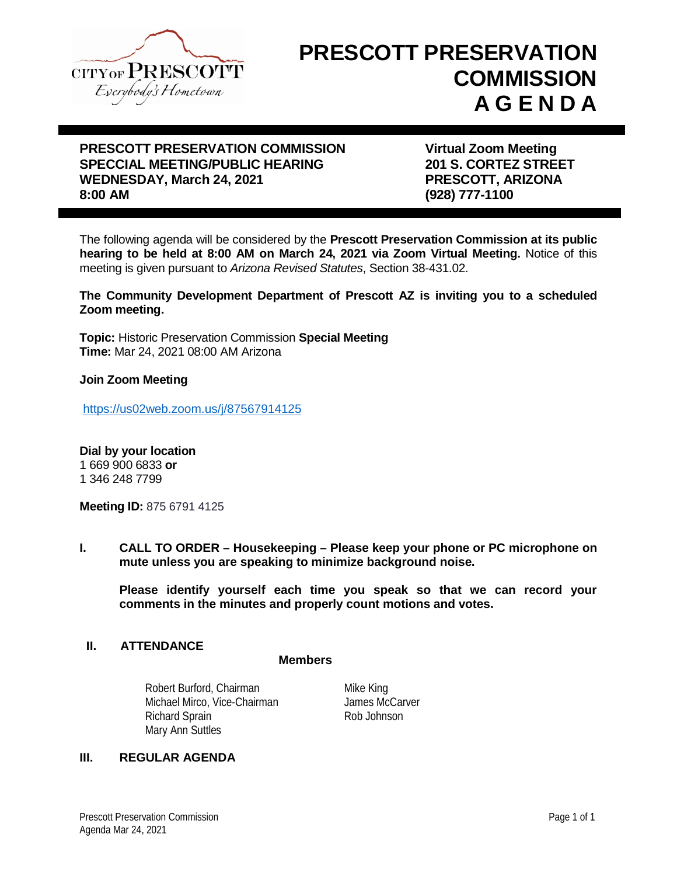

# **PRESCOTT PRESERVATION COMMISSION A G E N D A**

## **PRESCOTT PRESERVATION COMMISSION Virtual Zoom Meeting SPECCIAL MEETING/PUBLIC HEARING 201 S. CORTEZ STREET WEDNESDAY, March 24, 2021 PRESCOTT, ARIZONA 8:00 AM (928) 777-1100**

The following agenda will be considered by the **Prescott Preservation Commission at its public hearing to be held at 8:00 AM on March 24, 2021 via Zoom Virtual Meeting.** Notice of this meeting is given pursuant to *Arizona Revised Statutes*, Section 38-431.02.

**The Community Development Department of Prescott AZ is inviting you to a scheduled Zoom meeting.**

**Topic:** Historic Preservation Commission **Special Meeting Time:** Mar 24, 2021 08:00 AM Arizona

#### **Join Zoom Meeting**

<https://us02web.zoom.us/j/87567914125>

**Dial by your location** 1 669 900 6833 **or** 1 346 248 7799

**Meeting ID:** 875 6791 4125

**I. CALL TO ORDER – Housekeeping – Please keep your phone or PC microphone on mute unless you are speaking to minimize background noise.**

**Please identify yourself each time you speak so that we can record your comments in the minutes and properly count motions and votes.**

#### **II. ATTENDANCE**

#### **Members**

Robert Burford, Chairman Michael Mirco, Vice-Chairman Richard Sprain Rob Johnson Mary Ann Suttles

Mike King James McCarver

#### **III. REGULAR AGENDA**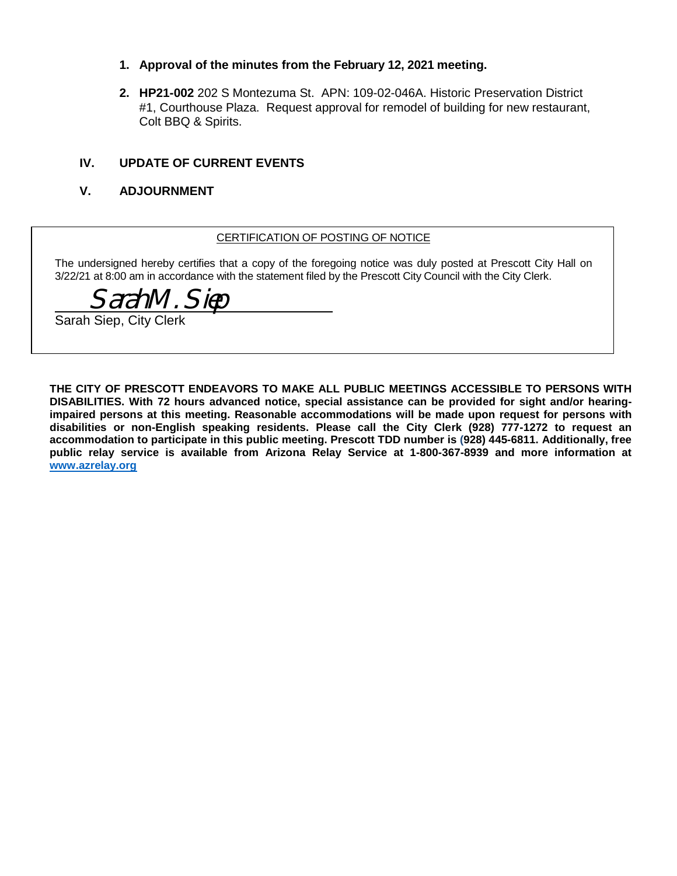- **1. Approval of the minutes from the February 12, 2021 meeting.**
- **2. HP21-002** 202 S Montezuma St. APN: 109-02-046A. Historic Preservation District #1, Courthouse Plaza. Request approval for remodel of building for new restaurant, Colt BBQ & Spirits.

#### **IV. UPDATE OF CURRENT EVENTS**

#### **V. ADJOURNMENT**

#### CERTIFICATION OF POSTING OF NOTICE

The undersigned hereby certifies that a copy of the foregoing notice was duly posted at Prescott City Hall on 3/22/21 at 8:00 am in accordance with the statement filed by the Prescott City Council with the City Clerk.

\_\_\_\_\_\_\_\_\_\_\_\_\_\_\_\_\_\_\_\_\_\_\_\_\_\_\_\_\_\_\_\_\_\_\_\_\_ Sarah M. Siep

Sarah Siep, City Clerk

**THE CITY OF PRESCOTT ENDEAVORS TO MAKE ALL PUBLIC MEETINGS ACCESSIBLE TO PERSONS WITH DISABILITIES. With 72 hours advanced notice, special assistance can be provided for sight and/or hearingimpaired persons at this meeting. Reasonable accommodations will be made upon request for persons with disabilities or non-English speaking residents. Please call the City Clerk (928) 777-1272 to request an accommodation to participate in this public meeting. Prescott TDD number is (928) 445-6811. Additionally, free public relay service is available from Arizona Relay Service at 1-800-367-8939 and more information at [www.azrelay.org](http://www.azrelay.org/)**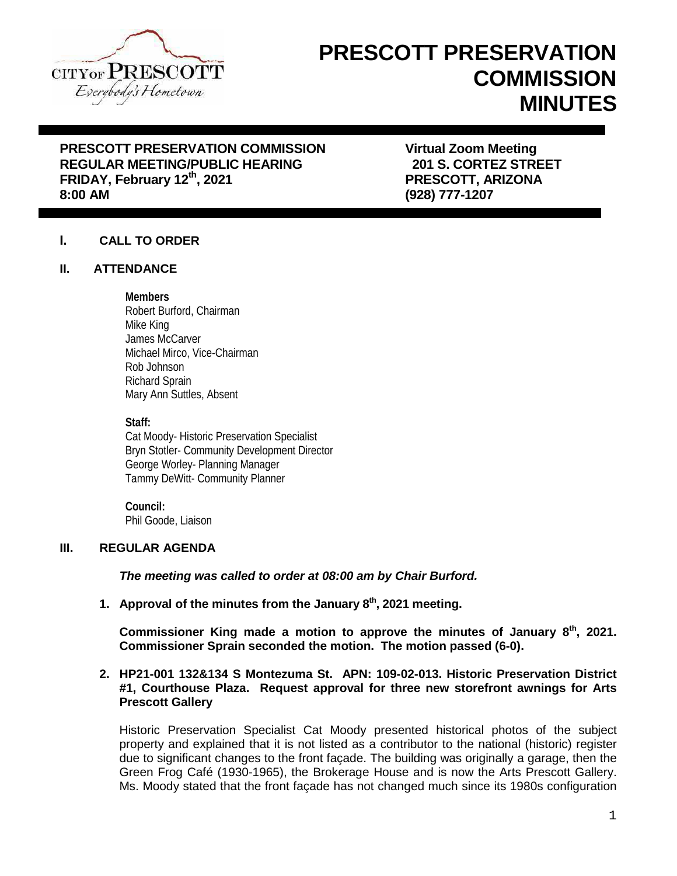

# **PRESCOTT PRESERVATION COMMISSION MINUTES**

# **PRESCOTT PRESERVATION COMMISSION Virtual Zoom Meeting REGULAR MEETING/PUBLIC HEARING FRIDAY, February 12th, 2021 PRESCOTT, ARIZONA**

**8:00 AM (928) 777-1207**

## **I. CALL TO ORDER**

#### **II. ATTENDANCE**

#### **Members**

Robert Burford, Chairman Mike King James McCarver Michael Mirco, Vice-Chairman Rob Johnson Richard Sprain Mary Ann Suttles, Absent

#### **Staff:**

Cat Moody- Historic Preservation Specialist Bryn Stotler- Community Development Director George Worley- Planning Manager Tammy DeWitt- Community Planner

**Council:** Phil Goode, Liaison

### **III. REGULAR AGENDA**

*The meeting was called to order at 08:00 am by Chair Burford.*

**1. Approval of the minutes from the January 8th, 2021 meeting.**

**Commissioner King made a motion to approve the minutes of January 8th, 2021. Commissioner Sprain seconded the motion. The motion passed (6-0).**

#### **2. HP21-001 132&134 S Montezuma St. APN: 109-02-013. Historic Preservation District #1, Courthouse Plaza. Request approval for three new storefront awnings for Arts Prescott Gallery**

Historic Preservation Specialist Cat Moody presented historical photos of the subject property and explained that it is not listed as a contributor to the national (historic) register due to significant changes to the front façade. The building was originally a garage, then the Green Frog Café (1930-1965), the Brokerage House and is now the Arts Prescott Gallery. Ms. Moody stated that the front façade has not changed much since its 1980s configuration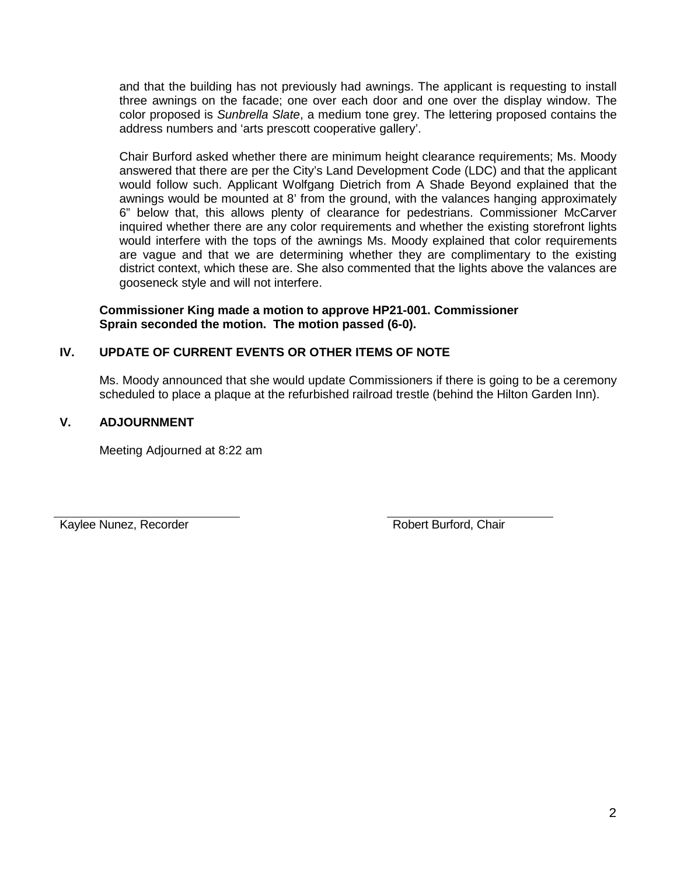and that the building has not previously had awnings. The applicant is requesting to install three awnings on the facade; one over each door and one over the display window. The color proposed is *Sunbrella Slate*, a medium tone grey. The lettering proposed contains the address numbers and 'arts prescott cooperative gallery'.

Chair Burford asked whether there are minimum height clearance requirements; Ms. Moody answered that there are per the City's Land Development Code (LDC) and that the applicant would follow such. Applicant Wolfgang Dietrich from A Shade Beyond explained that the awnings would be mounted at 8' from the ground, with the valances hanging approximately 6" below that, this allows plenty of clearance for pedestrians. Commissioner McCarver inquired whether there are any color requirements and whether the existing storefront lights would interfere with the tops of the awnings Ms. Moody explained that color requirements are vague and that we are determining whether they are complimentary to the existing district context, which these are. She also commented that the lights above the valances are gooseneck style and will not interfere.

#### **Commissioner King made a motion to approve HP21-001. Commissioner Sprain seconded the motion. The motion passed (6-0).**

# **IV. UPDATE OF CURRENT EVENTS OR OTHER ITEMS OF NOTE**

Ms. Moody announced that she would update Commissioners if there is going to be a ceremony scheduled to place a plaque at the refurbished railroad trestle (behind the Hilton Garden Inn).

# **V. ADJOURNMENT**

Meeting Adjourned at 8:22 am

Kaylee Nunez, Recorder **Robert Burford, Chair** Robert Burford, Chair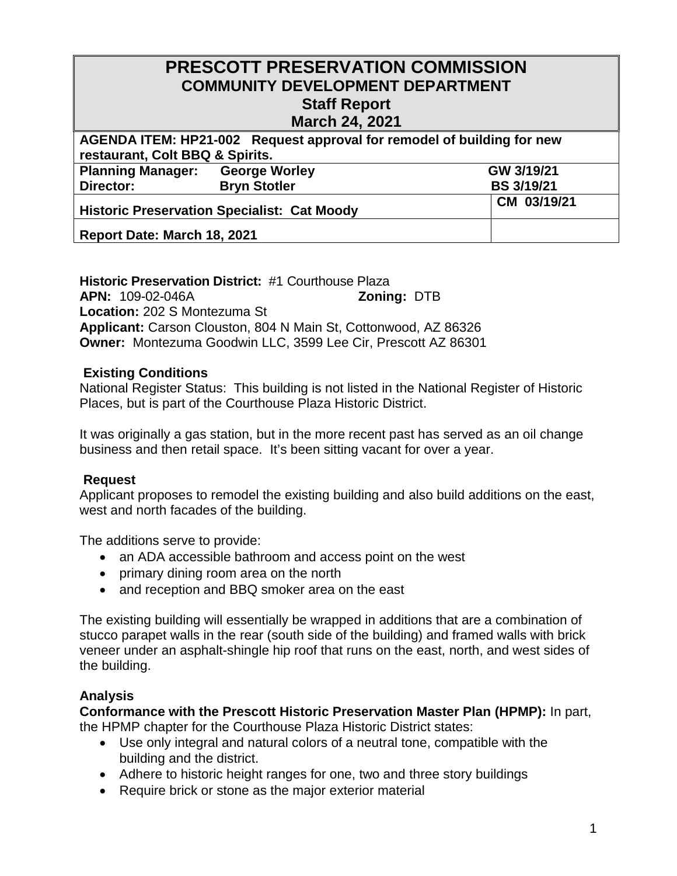# **PRESCOTT PRESERVATION COMMISSION COMMUNITY DEVELOPMENT DEPARTMENT Staff Report**

# **March 24, 2021**

| AGENDA ITEM: HP21-002 Request approval for remodel of building for new |                      |                   |  |
|------------------------------------------------------------------------|----------------------|-------------------|--|
| restaurant, Colt BBQ & Spirits.                                        |                      |                   |  |
| <b>Planning Manager:</b>                                               | <b>George Worley</b> | GW 3/19/21        |  |
| Director:                                                              | <b>Bryn Stotler</b>  | <b>BS 3/19/21</b> |  |
| <b>Historic Preservation Specialist: Cat Moody</b>                     |                      | CM 03/19/21       |  |
| Report Date: March 18, 2021                                            |                      |                   |  |

### **Historic Preservation District:** #1 Courthouse Plaza **APN:** 109-02-046A **Zoning:** DTB **Location:** 202 S Montezuma St **Applicant:** Carson Clouston, 804 N Main St, Cottonwood, AZ 86326 **Owner:** Montezuma Goodwin LLC, 3599 Lee Cir, Prescott AZ 86301

# **Existing Conditions**

National Register Status: This building is not listed in the National Register of Historic Places, but is part of the Courthouse Plaza Historic District.

It was originally a gas station, but in the more recent past has served as an oil change business and then retail space. It's been sitting vacant for over a year.

# **Request**

Applicant proposes to remodel the existing building and also build additions on the east, west and north facades of the building.

The additions serve to provide:

- · an ADA accessible bathroom and access point on the west
- · primary dining room area on the north
- and reception and BBQ smoker area on the east

The existing building will essentially be wrapped in additions that are a combination of stucco parapet walls in the rear (south side of the building) and framed walls with brick veneer under an asphalt-shingle hip roof that runs on the east, north, and west sides of the building.

# **Analysis**

**Conformance with the Prescott Historic Preservation Master Plan (HPMP):** In part, the HPMP chapter for the Courthouse Plaza Historic District states:

- · Use only integral and natural colors of a neutral tone, compatible with the building and the district.
- Adhere to historic height ranges for one, two and three story buildings
- · Require brick or stone as the major exterior material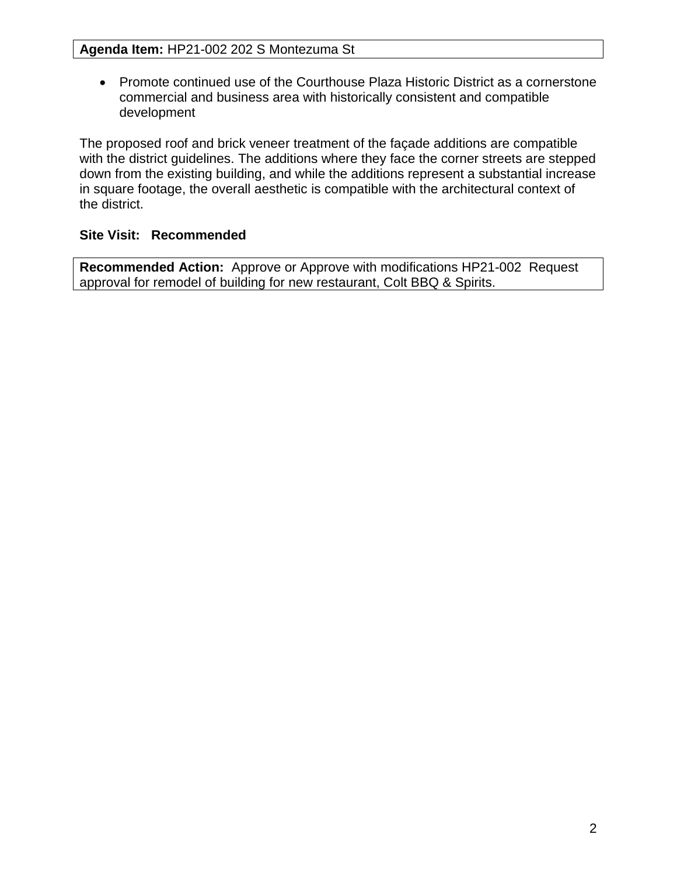· Promote continued use of the Courthouse Plaza Historic District as a cornerstone commercial and business area with historically consistent and compatible development

The proposed roof and brick veneer treatment of the façade additions are compatible with the district guidelines. The additions where they face the corner streets are stepped down from the existing building, and while the additions represent a substantial increase in square footage, the overall aesthetic is compatible with the architectural context of the district.

# **Site Visit: Recommended**

**Recommended Action:** Approve or Approve with modifications HP21-002 Request approval for remodel of building for new restaurant, Colt BBQ & Spirits.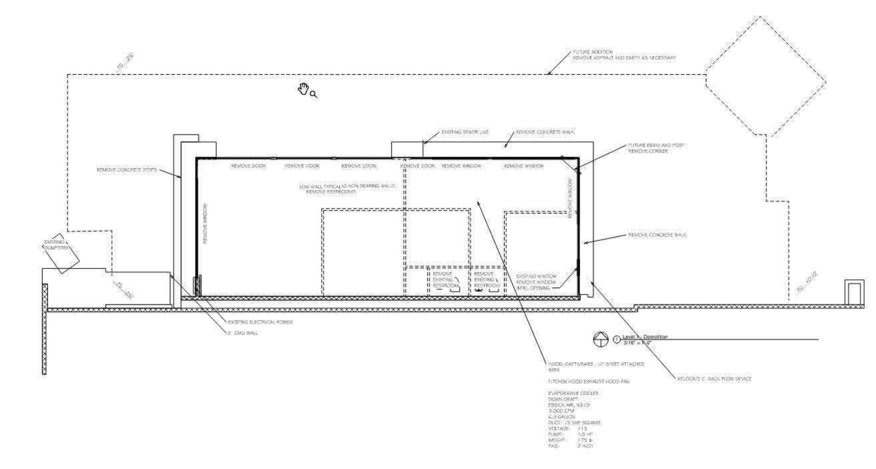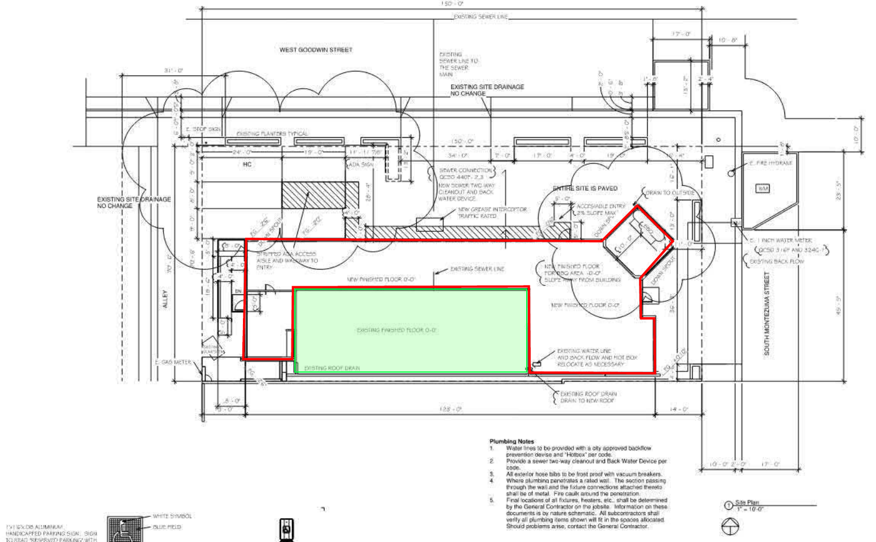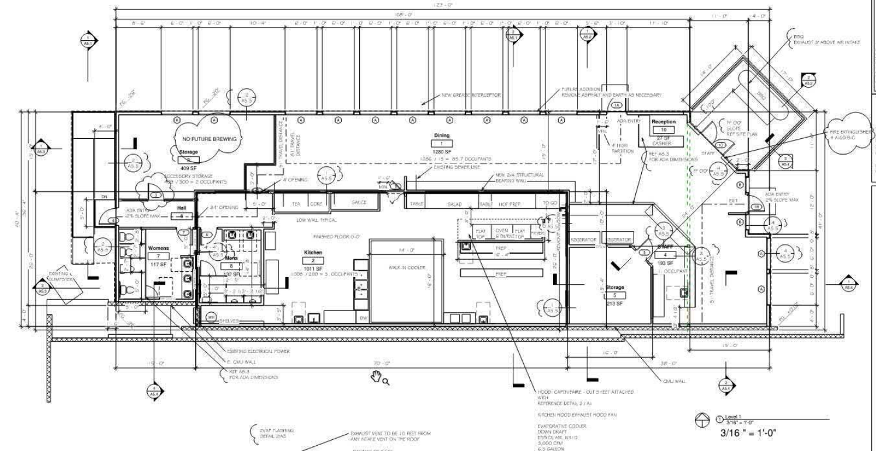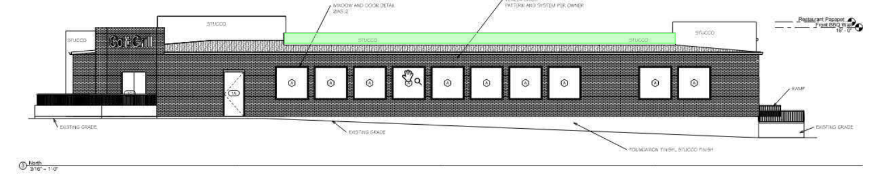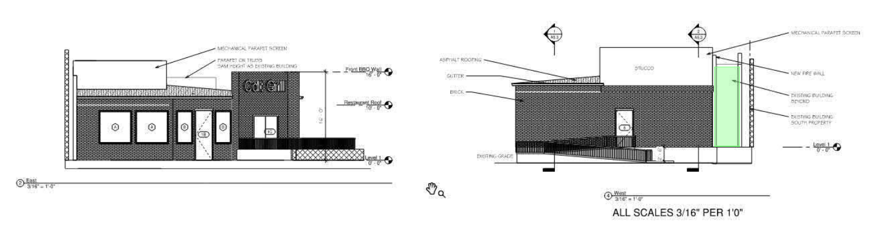



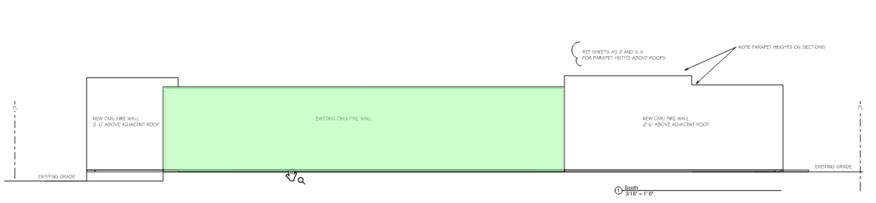

 $0 - \frac{South}{3/16'' - 1' - 0''}$